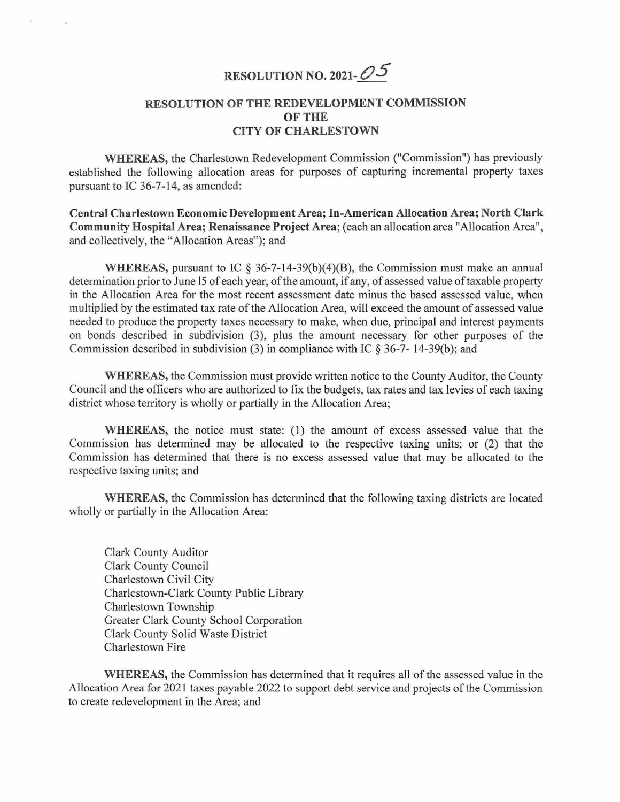## RESOLUTION NO. 2021- $O5$

## RESOLUTION OF THE REDEVELOPMENT COMMISSION OF THE CITY OF CHARLESTOWN

WHEREAS, the Charlestown Redevelopment Commission ("Commission") has previously established the following allocation areas for purposes of capturing incremental property taxes pursuant to IC 36-7-14, as amended:

Central Charlestown Economic DevelopmentArea; In-American Allocation Area; North Clark Community Hospital Area; Renaissance Project Area; (each an allocation area "Allocation Area", and collectively, the "Allocation Areas"); and

WHEREAS, pursuant to IC  $\S 36-7-14-39(b)(4)(B)$ , the Commission must make an annual determination prior to June 15 of each year, of the amount, if any, of assessed value of taxable property in the Allocation Area for the most recent assessment date minus the based assessed value, when multiplied by the estimated tax rate of the Allocation Area, will exceed the amount of assessed value needed to produce the property taxes necessary to make, when due, principal and interest payments on bonds described in subdivision (3), plus the amount necessary for other purposes of the Commission described in subdivision (3) in compliance with IC § 36-7- l4-39(b); and

WHEREAS, the Commission must provide written notice to the County Auditor, the County Council and the officers who are authorized to fix the budgets, tax rates and tax levies of each taxing district whose territory is wholly or partially in the Allocation Area;

WHEREAS, the notice must state: (I) the amount of excess assessed value that the Commission has determined may be allocated to the respective taxing units; or (2) that the Commission has determined that there is no excess assessed value that may be allocated to the respective taxing units; and

WHEREAS, the Commission has determined that the following taxing districts are located wholly or partially in the Allocation Area:

Clark County Auditor Clark County Council Charlestown Civil City Charlestown-Clark County Public Library Charlestown Township Greater Clark County School Corporation Clark County Solid Waste District Charlestown Fire

WHEREAS, the Commission has determined that it requires all of the assessed value in the Allocation Area for 2021 taxes payable 2022 to support debt service and projects of the Commission to create redevelopment in the Area; and